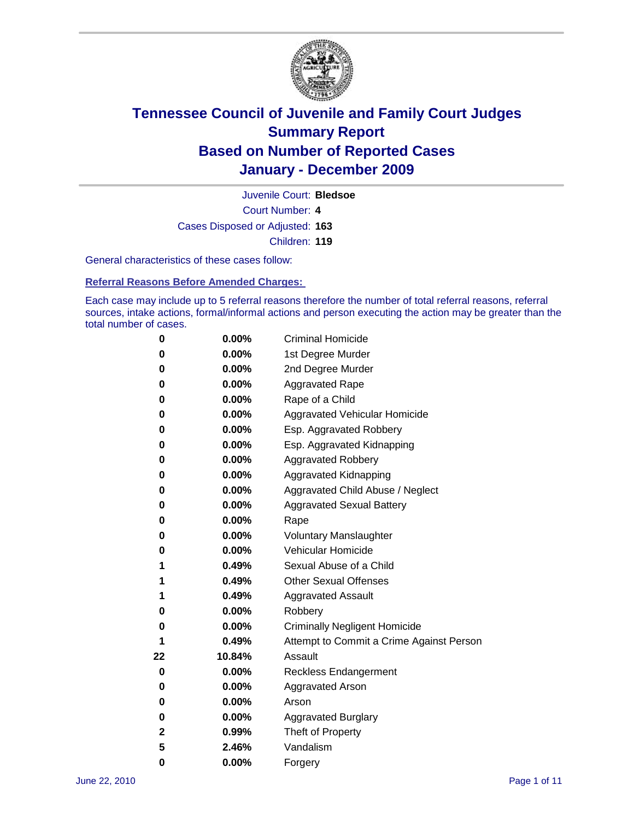

Court Number: **4** Juvenile Court: **Bledsoe** Cases Disposed or Adjusted: **163** Children: **119**

General characteristics of these cases follow:

**Referral Reasons Before Amended Charges:** 

Each case may include up to 5 referral reasons therefore the number of total referral reasons, referral sources, intake actions, formal/informal actions and person executing the action may be greater than the total number of cases.

| 0  | 0.00%    | <b>Criminal Homicide</b>                 |
|----|----------|------------------------------------------|
| 0  | 0.00%    | 1st Degree Murder                        |
| 0  | 0.00%    | 2nd Degree Murder                        |
| 0  | 0.00%    | <b>Aggravated Rape</b>                   |
| 0  | 0.00%    | Rape of a Child                          |
| 0  | 0.00%    | Aggravated Vehicular Homicide            |
| 0  | 0.00%    | Esp. Aggravated Robbery                  |
| 0  | 0.00%    | Esp. Aggravated Kidnapping               |
| 0  | 0.00%    | <b>Aggravated Robbery</b>                |
| 0  | 0.00%    | Aggravated Kidnapping                    |
| 0  | 0.00%    | Aggravated Child Abuse / Neglect         |
| 0  | $0.00\%$ | <b>Aggravated Sexual Battery</b>         |
| 0  | 0.00%    | Rape                                     |
| 0  | 0.00%    | <b>Voluntary Manslaughter</b>            |
| 0  | 0.00%    | Vehicular Homicide                       |
| 1  | 0.49%    | Sexual Abuse of a Child                  |
| 1  | 0.49%    | <b>Other Sexual Offenses</b>             |
| 1  | 0.49%    | <b>Aggravated Assault</b>                |
| 0  | $0.00\%$ | Robbery                                  |
| 0  | 0.00%    | <b>Criminally Negligent Homicide</b>     |
| 1  | 0.49%    | Attempt to Commit a Crime Against Person |
| 22 | 10.84%   | Assault                                  |
| 0  | 0.00%    | <b>Reckless Endangerment</b>             |
| 0  | 0.00%    | <b>Aggravated Arson</b>                  |
| 0  | 0.00%    | Arson                                    |
| 0  | 0.00%    | <b>Aggravated Burglary</b>               |
| 2  | 0.99%    | Theft of Property                        |
| 5  | 2.46%    | Vandalism                                |
| 0  | 0.00%    | Forgery                                  |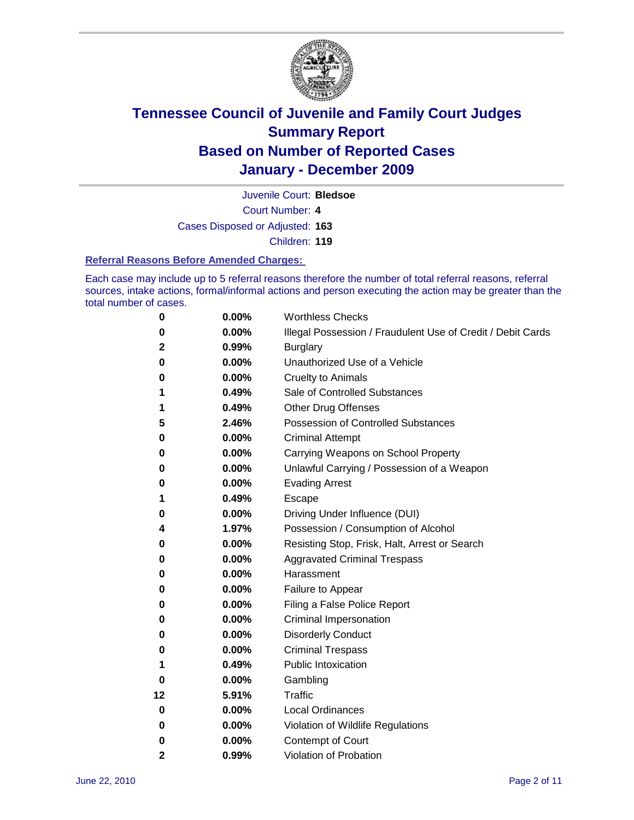

Juvenile Court: **Bledsoe**

Court Number: **4**

Cases Disposed or Adjusted: **163**

Children: **119**

#### **Referral Reasons Before Amended Charges:**

Each case may include up to 5 referral reasons therefore the number of total referral reasons, referral sources, intake actions, formal/informal actions and person executing the action may be greater than the total number of cases.

| 0            | 0.00%    | <b>Worthless Checks</b>                                     |
|--------------|----------|-------------------------------------------------------------|
| 0            | 0.00%    | Illegal Possession / Fraudulent Use of Credit / Debit Cards |
| 2            | 0.99%    | <b>Burglary</b>                                             |
| 0            | 0.00%    | Unauthorized Use of a Vehicle                               |
| 0            | 0.00%    | <b>Cruelty to Animals</b>                                   |
| 1            | 0.49%    | Sale of Controlled Substances                               |
| 1            | 0.49%    | <b>Other Drug Offenses</b>                                  |
| 5            | 2.46%    | <b>Possession of Controlled Substances</b>                  |
| 0            | 0.00%    | <b>Criminal Attempt</b>                                     |
| 0            | 0.00%    | Carrying Weapons on School Property                         |
| 0            | 0.00%    | Unlawful Carrying / Possession of a Weapon                  |
| 0            | 0.00%    | <b>Evading Arrest</b>                                       |
| 1            | 0.49%    | Escape                                                      |
| 0            | 0.00%    | Driving Under Influence (DUI)                               |
| 4            | 1.97%    | Possession / Consumption of Alcohol                         |
| 0            | 0.00%    | Resisting Stop, Frisk, Halt, Arrest or Search               |
| 0            | 0.00%    | <b>Aggravated Criminal Trespass</b>                         |
| 0            | 0.00%    | Harassment                                                  |
| 0            | 0.00%    | Failure to Appear                                           |
| 0            | 0.00%    | Filing a False Police Report                                |
| 0            | 0.00%    | Criminal Impersonation                                      |
| 0            | 0.00%    | <b>Disorderly Conduct</b>                                   |
| 0            | 0.00%    | <b>Criminal Trespass</b>                                    |
| 1            | 0.49%    | <b>Public Intoxication</b>                                  |
| 0            | 0.00%    | Gambling                                                    |
| 12           | 5.91%    | <b>Traffic</b>                                              |
| 0            | 0.00%    | <b>Local Ordinances</b>                                     |
| 0            | 0.00%    | Violation of Wildlife Regulations                           |
| 0            | $0.00\%$ | Contempt of Court                                           |
| $\mathbf{2}$ | 0.99%    | Violation of Probation                                      |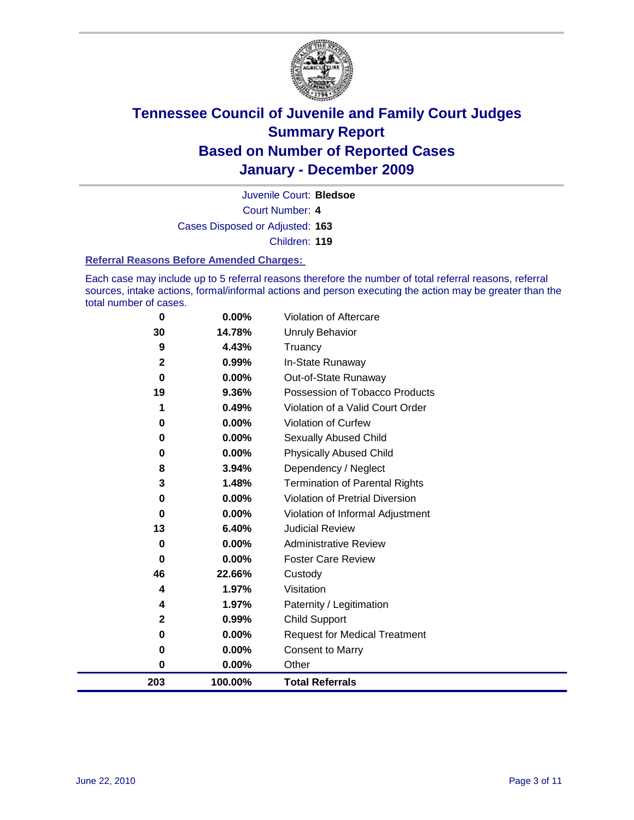

Juvenile Court: **Bledsoe**

Court Number: **4** Cases Disposed or Adjusted: **163**

Children: **119**

#### **Referral Reasons Before Amended Charges:**

Each case may include up to 5 referral reasons therefore the number of total referral reasons, referral sources, intake actions, formal/informal actions and person executing the action may be greater than the total number of cases.

| 0            | 0.00%   | Violation of Aftercare                 |
|--------------|---------|----------------------------------------|
| 30           | 14.78%  | Unruly Behavior                        |
| 9            | 4.43%   | Truancy                                |
| $\mathbf{2}$ | 0.99%   | In-State Runaway                       |
| $\bf{0}$     | 0.00%   | Out-of-State Runaway                   |
| 19           | 9.36%   | Possession of Tobacco Products         |
| 1            | 0.49%   | Violation of a Valid Court Order       |
| 0            | 0.00%   | Violation of Curfew                    |
| 0            | 0.00%   | Sexually Abused Child                  |
| 0            | 0.00%   | <b>Physically Abused Child</b>         |
| 8            | 3.94%   | Dependency / Neglect                   |
| 3            | 1.48%   | Termination of Parental Rights         |
| 0            | 0.00%   | <b>Violation of Pretrial Diversion</b> |
| 0            | 0.00%   | Violation of Informal Adjustment       |
| 13           | 6.40%   | <b>Judicial Review</b>                 |
| 0            | 0.00%   | <b>Administrative Review</b>           |
| $\bf{0}$     | 0.00%   | <b>Foster Care Review</b>              |
| 46           | 22.66%  | Custody                                |
| 4            | 1.97%   | Visitation                             |
| 4            | 1.97%   | Paternity / Legitimation               |
| 2            | 0.99%   | <b>Child Support</b>                   |
| 0            | 0.00%   | <b>Request for Medical Treatment</b>   |
| 0            | 0.00%   | <b>Consent to Marry</b>                |
| $\bf{0}$     | 0.00%   | Other                                  |
| 203          | 100.00% | <b>Total Referrals</b>                 |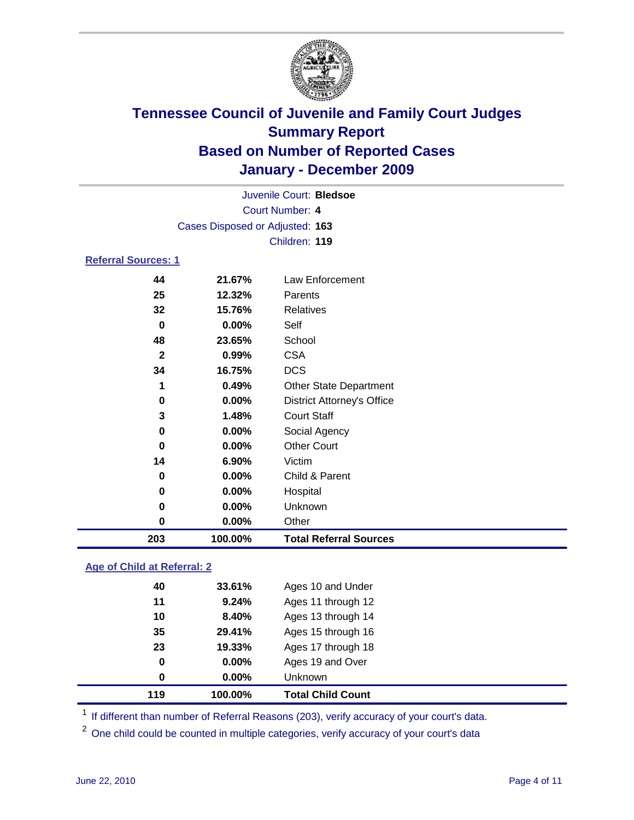

|                                 |          | Juvenile Court: Bledsoe           |  |  |  |
|---------------------------------|----------|-----------------------------------|--|--|--|
| <b>Court Number: 4</b>          |          |                                   |  |  |  |
| Cases Disposed or Adjusted: 163 |          |                                   |  |  |  |
|                                 |          | Children: 119                     |  |  |  |
| <b>Referral Sources: 1</b>      |          |                                   |  |  |  |
| 44                              | 21.67%   | Law Enforcement                   |  |  |  |
| 25                              | 12.32%   | Parents                           |  |  |  |
| 32                              | 15.76%   | Relatives                         |  |  |  |
| 0                               | 0.00%    | Self                              |  |  |  |
| 48                              | 23.65%   | School                            |  |  |  |
| $\mathbf{2}$                    | 0.99%    | <b>CSA</b>                        |  |  |  |
| 34                              | 16.75%   | <b>DCS</b>                        |  |  |  |
| 1                               | 0.49%    | <b>Other State Department</b>     |  |  |  |
| 0                               | 0.00%    | <b>District Attorney's Office</b> |  |  |  |
| 3                               | 1.48%    | <b>Court Staff</b>                |  |  |  |
| 0                               | 0.00%    | Social Agency                     |  |  |  |
| 0                               | 0.00%    | <b>Other Court</b>                |  |  |  |
| 14                              | 6.90%    | Victim                            |  |  |  |
| 0                               | 0.00%    | Child & Parent                    |  |  |  |
| 0                               | $0.00\%$ | Hospital                          |  |  |  |
| 0                               | 0.00%    | Unknown                           |  |  |  |
| 0                               | 0.00%    | Other                             |  |  |  |
| 203                             | 100.00%  | <b>Total Referral Sources</b>     |  |  |  |

### **Age of Child at Referral: 2**

| 119 | 100.00% | <b>Total Child Count</b> |
|-----|---------|--------------------------|
| 0   | 0.00%   | Unknown                  |
| 0   | 0.00%   | Ages 19 and Over         |
| 23  | 19.33%  | Ages 17 through 18       |
| 35  | 29.41%  | Ages 15 through 16       |
| 10  | 8.40%   | Ages 13 through 14       |
| 11  | 9.24%   | Ages 11 through 12       |
| 40  | 33.61%  | Ages 10 and Under        |
|     |         |                          |

<sup>1</sup> If different than number of Referral Reasons (203), verify accuracy of your court's data.

<sup>2</sup> One child could be counted in multiple categories, verify accuracy of your court's data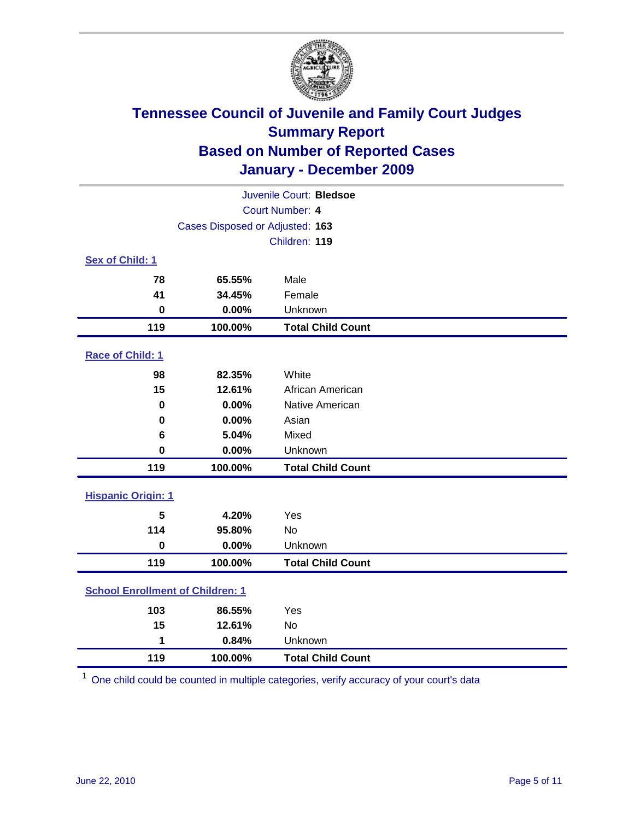

| Juvenile Court: Bledsoe                 |                                 |                          |  |  |  |
|-----------------------------------------|---------------------------------|--------------------------|--|--|--|
| Court Number: 4                         |                                 |                          |  |  |  |
|                                         | Cases Disposed or Adjusted: 163 |                          |  |  |  |
|                                         |                                 | Children: 119            |  |  |  |
| Sex of Child: 1                         |                                 |                          |  |  |  |
| 78                                      | 65.55%                          | Male                     |  |  |  |
| 41                                      | 34.45%                          | Female                   |  |  |  |
| $\mathbf 0$                             | 0.00%                           | Unknown                  |  |  |  |
| 119                                     | 100.00%                         | <b>Total Child Count</b> |  |  |  |
| Race of Child: 1                        |                                 |                          |  |  |  |
| 98                                      | 82.35%                          | White                    |  |  |  |
| 15                                      | 12.61%                          | African American         |  |  |  |
| $\mathbf 0$                             | 0.00%                           | Native American          |  |  |  |
| $\mathbf 0$                             | 0.00%                           | Asian                    |  |  |  |
| 6                                       | 5.04%                           | Mixed                    |  |  |  |
| $\mathbf 0$                             | 0.00%                           | Unknown                  |  |  |  |
| 119                                     | 100.00%                         | <b>Total Child Count</b> |  |  |  |
| <b>Hispanic Origin: 1</b>               |                                 |                          |  |  |  |
| 5                                       | 4.20%                           | Yes                      |  |  |  |
| 114                                     | 95.80%                          | No                       |  |  |  |
| $\mathbf 0$                             | 0.00%                           | Unknown                  |  |  |  |
| 119                                     | 100.00%                         | <b>Total Child Count</b> |  |  |  |
| <b>School Enrollment of Children: 1</b> |                                 |                          |  |  |  |
| 103                                     | 86.55%                          | Yes                      |  |  |  |
| 15                                      | 12.61%                          | No                       |  |  |  |
| 1                                       | 0.84%                           | Unknown                  |  |  |  |
| 119                                     | 100.00%                         | <b>Total Child Count</b> |  |  |  |

One child could be counted in multiple categories, verify accuracy of your court's data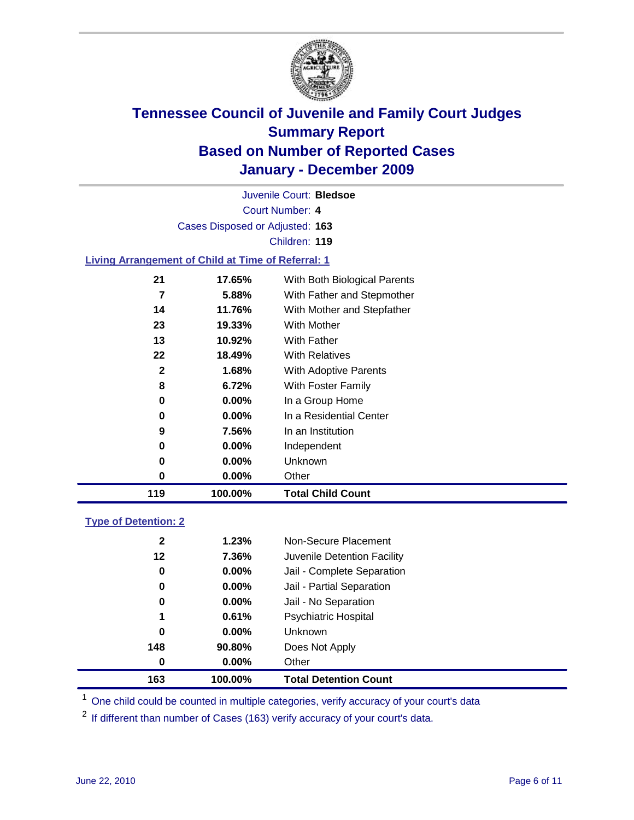

Court Number: **4** Juvenile Court: **Bledsoe** Cases Disposed or Adjusted: **163** Children: **119**

#### **Living Arrangement of Child at Time of Referral: 1**

| 119 | 100.00%  | <b>Total Child Count</b>     |
|-----|----------|------------------------------|
| 0   | 0.00%    | Other                        |
| 0   | 0.00%    | Unknown                      |
| 0   | $0.00\%$ | Independent                  |
| 9   | 7.56%    | In an Institution            |
| 0   | $0.00\%$ | In a Residential Center      |
| 0   | 0.00%    | In a Group Home              |
| 8   | 6.72%    | With Foster Family           |
| 2   | 1.68%    | <b>With Adoptive Parents</b> |
| 22  | 18.49%   | <b>With Relatives</b>        |
| 13  | 10.92%   | With Father                  |
| 23  | 19.33%   | With Mother                  |
| 14  | 11.76%   | With Mother and Stepfather   |
| 7   | 5.88%    | With Father and Stepmother   |
| 21  | 17.65%   | With Both Biological Parents |
|     |          |                              |

#### **Type of Detention: 2**

| 163          | 100.00%  | <b>Total Detention Count</b> |  |
|--------------|----------|------------------------------|--|
| 0            | $0.00\%$ | Other                        |  |
| 148          | 90.80%   | Does Not Apply               |  |
| 0            | $0.00\%$ | <b>Unknown</b>               |  |
| 1            | 0.61%    | Psychiatric Hospital         |  |
| 0            | 0.00%    | Jail - No Separation         |  |
| 0            | $0.00\%$ | Jail - Partial Separation    |  |
| 0            | $0.00\%$ | Jail - Complete Separation   |  |
| 12           | 7.36%    | Juvenile Detention Facility  |  |
| $\mathbf{2}$ | 1.23%    | Non-Secure Placement         |  |
|              |          |                              |  |

<sup>1</sup> One child could be counted in multiple categories, verify accuracy of your court's data

<sup>2</sup> If different than number of Cases (163) verify accuracy of your court's data.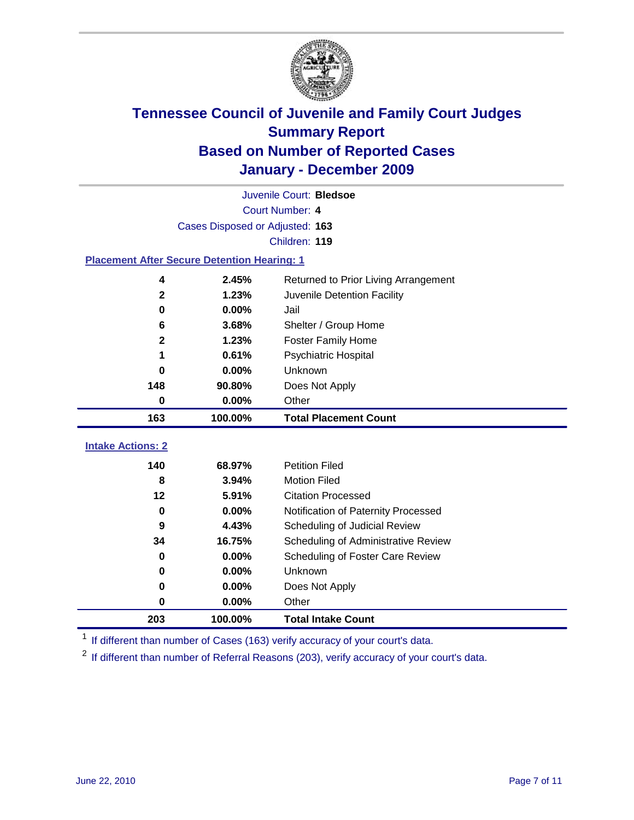

| Juvenile Court: Bledsoe                            |                                 |                                      |  |  |  |  |  |
|----------------------------------------------------|---------------------------------|--------------------------------------|--|--|--|--|--|
| Court Number: 4                                    |                                 |                                      |  |  |  |  |  |
|                                                    | Cases Disposed or Adjusted: 163 |                                      |  |  |  |  |  |
|                                                    | Children: 119                   |                                      |  |  |  |  |  |
| <b>Placement After Secure Detention Hearing: 1</b> |                                 |                                      |  |  |  |  |  |
| 4                                                  | 2.45%                           | Returned to Prior Living Arrangement |  |  |  |  |  |
| $\mathbf{2}$                                       | 1.23%                           | Juvenile Detention Facility          |  |  |  |  |  |
| $\mathbf 0$                                        | 0.00%                           | Jail                                 |  |  |  |  |  |
| 6                                                  | 3.68%                           | Shelter / Group Home                 |  |  |  |  |  |
| $\mathbf 2$                                        | 1.23%                           | <b>Foster Family Home</b>            |  |  |  |  |  |
| 1                                                  | 0.61%                           | Psychiatric Hospital                 |  |  |  |  |  |
| 0                                                  | 0.00%                           | Unknown                              |  |  |  |  |  |
| 148                                                | 90.80%                          | Does Not Apply                       |  |  |  |  |  |
| $\mathbf 0$                                        | 0.00%                           | Other                                |  |  |  |  |  |
| 163                                                | 100.00%                         | <b>Total Placement Count</b>         |  |  |  |  |  |
|                                                    |                                 |                                      |  |  |  |  |  |
|                                                    |                                 |                                      |  |  |  |  |  |
| <b>Intake Actions: 2</b><br>140                    | 68.97%                          | <b>Petition Filed</b>                |  |  |  |  |  |
| 8                                                  | 3.94%                           | <b>Motion Filed</b>                  |  |  |  |  |  |
| 12                                                 | 5.91%                           | <b>Citation Processed</b>            |  |  |  |  |  |
| $\bf{0}$                                           | 0.00%                           | Notification of Paternity Processed  |  |  |  |  |  |
| $\boldsymbol{9}$                                   | 4.43%                           | Scheduling of Judicial Review        |  |  |  |  |  |
| 34                                                 | 16.75%                          | Scheduling of Administrative Review  |  |  |  |  |  |
| 0                                                  | 0.00%                           | Scheduling of Foster Care Review     |  |  |  |  |  |
| $\bf{0}$                                           | 0.00%                           | Unknown                              |  |  |  |  |  |
| 0                                                  | 0.00%                           | Does Not Apply                       |  |  |  |  |  |
| 0                                                  | 0.00%                           | Other                                |  |  |  |  |  |

<sup>1</sup> If different than number of Cases (163) verify accuracy of your court's data.

<sup>2</sup> If different than number of Referral Reasons (203), verify accuracy of your court's data.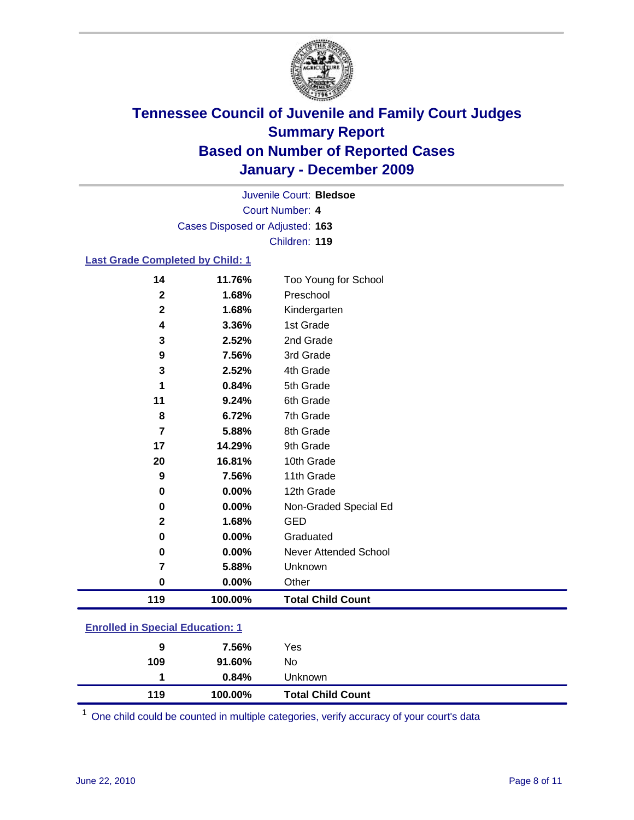

Court Number: **4** Juvenile Court: **Bledsoe** Cases Disposed or Adjusted: **163** Children: **119**

#### **Last Grade Completed by Child: 1**

| 119                     | 100.00%  | <b>Total Child Count</b>     |  |
|-------------------------|----------|------------------------------|--|
| $\pmb{0}$               | 0.00%    | Other                        |  |
| 7                       | 5.88%    | Unknown                      |  |
| $\pmb{0}$               | 0.00%    | <b>Never Attended School</b> |  |
| 0                       | 0.00%    | Graduated                    |  |
| $\mathbf{2}$            | 1.68%    | <b>GED</b>                   |  |
| $\pmb{0}$               | 0.00%    | Non-Graded Special Ed        |  |
| 0                       | $0.00\%$ | 12th Grade                   |  |
| $\boldsymbol{9}$        | 7.56%    | 11th Grade                   |  |
| 20                      | 16.81%   | 10th Grade                   |  |
| 17                      | 14.29%   | 9th Grade                    |  |
| $\overline{\mathbf{r}}$ | 5.88%    | 8th Grade                    |  |
| 8                       | 6.72%    | 7th Grade                    |  |
| 11                      | 9.24%    | 6th Grade                    |  |
| 1                       | 0.84%    | 5th Grade                    |  |
| 3                       | 2.52%    | 4th Grade                    |  |
| 9                       | 7.56%    | 3rd Grade                    |  |
| 3                       | 2.52%    | 2nd Grade                    |  |
| 4                       | 3.36%    | 1st Grade                    |  |
| $\mathbf 2$             | 1.68%    | Kindergarten                 |  |
| $\mathbf 2$             | 1.68%    | Preschool                    |  |
| 14                      | 11.76%   | Too Young for School         |  |

| <b>Enrolled in Special Education: 1</b> |
|-----------------------------------------|
|                                         |

| 119 | 100.00% | <b>Total Child Count</b> |  |
|-----|---------|--------------------------|--|
|     | 0.84%   | Unknown                  |  |
| 109 | 91.60%  | No                       |  |
| 9   | 7.56%   | Yes                      |  |
|     |         |                          |  |

One child could be counted in multiple categories, verify accuracy of your court's data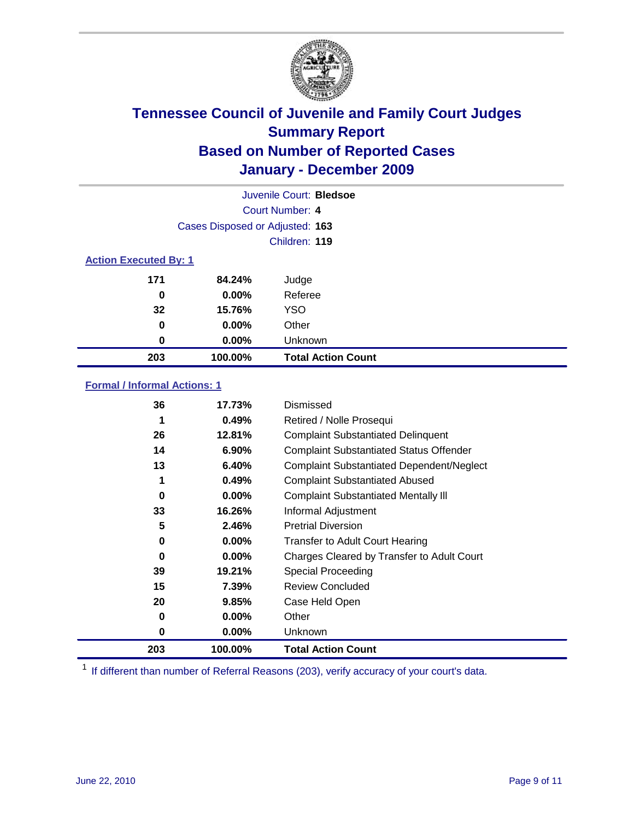

|                              |                                 | Juvenile Court: Bledsoe   |
|------------------------------|---------------------------------|---------------------------|
|                              |                                 | Court Number: 4           |
|                              | Cases Disposed or Adjusted: 163 |                           |
|                              |                                 | Children: 119             |
| <b>Action Executed By: 1</b> |                                 |                           |
| 171                          | 84.24%                          | Judge                     |
| 0                            | $0.00\%$                        | Referee                   |
| 32                           | 15.76%                          | <b>YSO</b>                |
| 0                            | $0.00\%$                        | Other                     |
| 0                            | $0.00\%$                        | Unknown                   |
| 203                          | 100.00%                         | <b>Total Action Count</b> |

### **Formal / Informal Actions: 1**

| 36  | 17.73%   | Dismissed                                        |
|-----|----------|--------------------------------------------------|
| 1   | 0.49%    | Retired / Nolle Prosequi                         |
| 26  | 12.81%   | <b>Complaint Substantiated Delinquent</b>        |
| 14  | 6.90%    | <b>Complaint Substantiated Status Offender</b>   |
| 13  | 6.40%    | <b>Complaint Substantiated Dependent/Neglect</b> |
| 1   | 0.49%    | <b>Complaint Substantiated Abused</b>            |
| 0   | $0.00\%$ | <b>Complaint Substantiated Mentally III</b>      |
| 33  | 16.26%   | Informal Adjustment                              |
| 5   | 2.46%    | <b>Pretrial Diversion</b>                        |
| 0   | $0.00\%$ | <b>Transfer to Adult Court Hearing</b>           |
| 0   | 0.00%    | Charges Cleared by Transfer to Adult Court       |
| 39  | 19.21%   | Special Proceeding                               |
| 15  | 7.39%    | <b>Review Concluded</b>                          |
| 20  | 9.85%    | Case Held Open                                   |
| 0   | $0.00\%$ | Other                                            |
| 0   | $0.00\%$ | Unknown                                          |
| 203 | 100.00%  | <b>Total Action Count</b>                        |

<sup>1</sup> If different than number of Referral Reasons (203), verify accuracy of your court's data.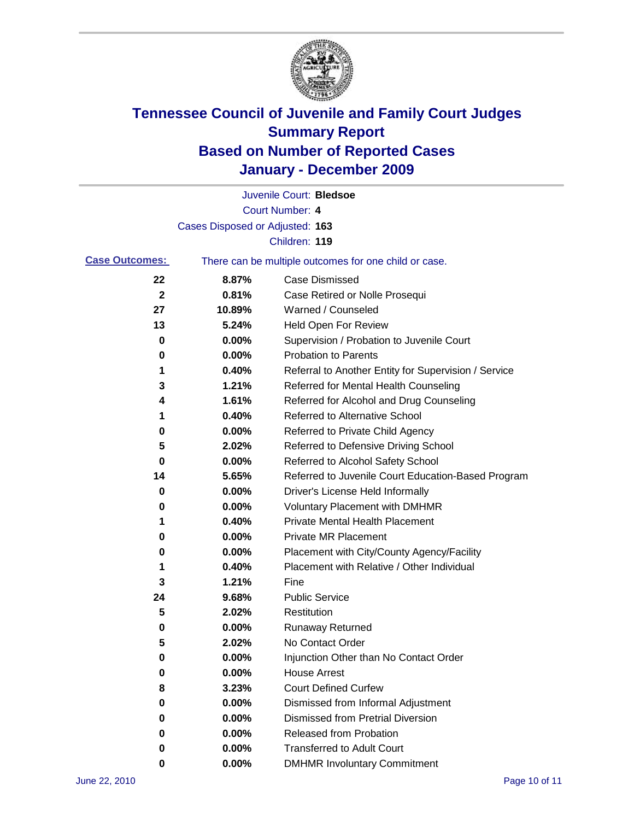

|                       |                                 | Juvenile Court: Bledsoe                               |
|-----------------------|---------------------------------|-------------------------------------------------------|
|                       |                                 | Court Number: 4                                       |
|                       | Cases Disposed or Adjusted: 163 |                                                       |
|                       |                                 | Children: 119                                         |
| <b>Case Outcomes:</b> |                                 | There can be multiple outcomes for one child or case. |
| 22                    | 8.87%                           | <b>Case Dismissed</b>                                 |
| $\mathbf{2}$          | 0.81%                           | Case Retired or Nolle Prosequi                        |
| 27                    | 10.89%                          | Warned / Counseled                                    |
| 13                    | 5.24%                           | Held Open For Review                                  |
| 0                     | 0.00%                           | Supervision / Probation to Juvenile Court             |
| 0                     | 0.00%                           | <b>Probation to Parents</b>                           |
| 1                     | 0.40%                           | Referral to Another Entity for Supervision / Service  |
| 3                     | 1.21%                           | Referred for Mental Health Counseling                 |
| 4                     | 1.61%                           | Referred for Alcohol and Drug Counseling              |
| 1                     | 0.40%                           | Referred to Alternative School                        |
| 0                     | 0.00%                           | Referred to Private Child Agency                      |
| 5                     | 2.02%                           | Referred to Defensive Driving School                  |
| 0                     | 0.00%                           | Referred to Alcohol Safety School                     |
| 14                    | 5.65%                           | Referred to Juvenile Court Education-Based Program    |
| 0                     | 0.00%                           | Driver's License Held Informally                      |
| 0                     | 0.00%                           | <b>Voluntary Placement with DMHMR</b>                 |
| 1                     | 0.40%                           | <b>Private Mental Health Placement</b>                |
| 0                     | 0.00%                           | <b>Private MR Placement</b>                           |
| 0                     | 0.00%                           | Placement with City/County Agency/Facility            |
| 1                     | 0.40%                           | Placement with Relative / Other Individual            |
| 3                     | 1.21%                           | Fine                                                  |
| 24                    | 9.68%                           | <b>Public Service</b>                                 |
| 5                     | 2.02%                           | Restitution                                           |
| 0                     | 0.00%                           | <b>Runaway Returned</b>                               |
| 5                     | 2.02%                           | No Contact Order                                      |
| 0                     | 0.00%                           | Injunction Other than No Contact Order                |
| 0                     | 0.00%                           | <b>House Arrest</b>                                   |
| 8                     | 3.23%                           | <b>Court Defined Curfew</b>                           |
| 0                     | $0.00\%$                        | Dismissed from Informal Adjustment                    |
| 0                     | $0.00\%$                        | <b>Dismissed from Pretrial Diversion</b>              |
| 0                     | 0.00%                           | Released from Probation                               |
| 0                     | $0.00\%$                        | <b>Transferred to Adult Court</b>                     |
| 0                     | 0.00%                           | <b>DMHMR Involuntary Commitment</b>                   |